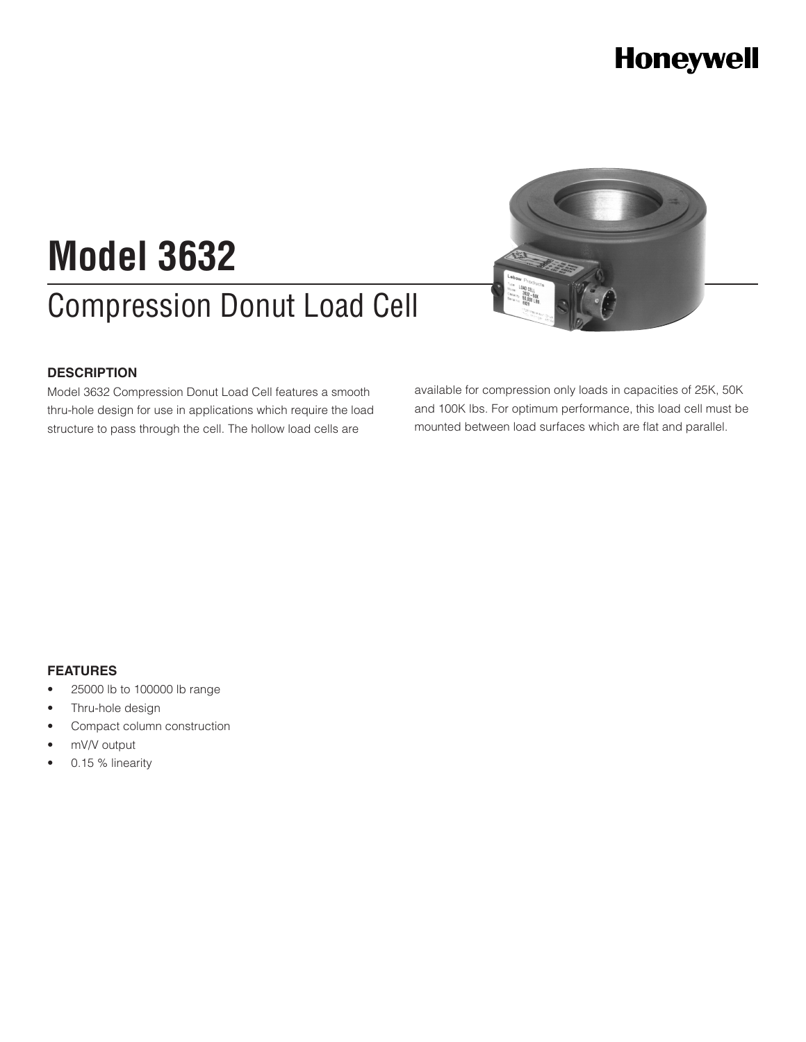### **Honeywell**

# Compression Donut Load Cell **Model 3632**

#### **DESCRIPTION**

Model 3632 Compression Donut Load Cell features a smooth thru-hole design for use in applications which require the load structure to pass through the cell. The hollow load cells are



available for compression only loads in capacities of 25K, 50K and 100K lbs. For optimum performance, this load cell must be mounted between load surfaces which are flat and parallel.

#### **FEATURES**

- • 25000 lb to 100000 lb range
- Thru-hole design
- Compact column construction
- mV/V output
- 0.15 % linearity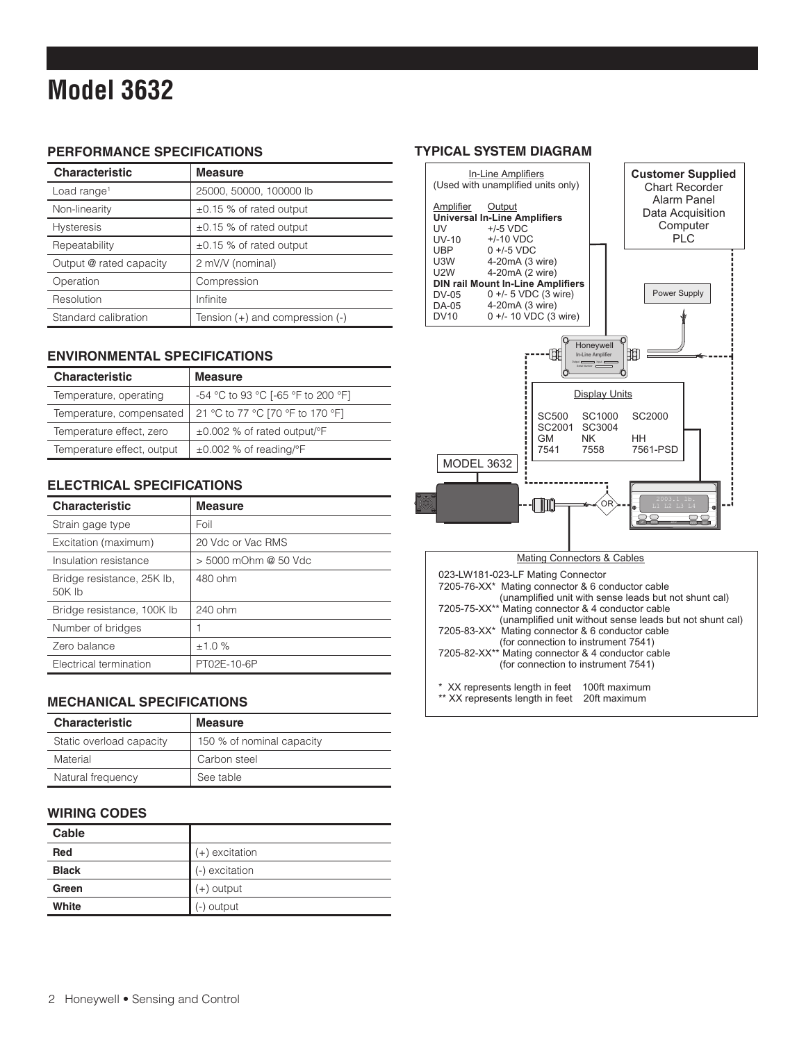### **Model 3632**

#### **PERFORMANCE SPECIFICATIONS**

| <b>Characteristic</b>   | <b>Measure</b>                  |
|-------------------------|---------------------------------|
| Load range <sup>1</sup> | 25000, 50000, 100000 lb         |
| Non-linearity           | ±0.15 % of rated output         |
| <b>Hysteresis</b>       | ±0.15 % of rated output         |
| Repeatability           | $\pm 0.15$ % of rated output    |
| Output @ rated capacity | 2 mV/V (nominal)                |
| Operation               | Compression                     |
| Resolution              | Infinite                        |
| Standard calibration    | Tension (+) and compression (-) |

#### **ENVIRONMENTAL SPECIFICATIONS**

| <b>Characteristic</b>      | <b>Measure</b>                                |
|----------------------------|-----------------------------------------------|
| Temperature, operating     | -54 °C to 93 °C [-65 °F to 200 °F]            |
| Temperature, compensated   | 21 °C to 77 °C [70 °F to 170 °F]              |
| Temperature effect, zero   | $\pm 0.002$ % of rated output/ $\mathrm{P}$ F |
| Temperature effect, output | $\pm 0.002$ % of reading/°F                   |

#### **ELECTRICAL SPECIFICATIONS**

| <b>Characteristic</b>                | <b>Measure</b>       |
|--------------------------------------|----------------------|
| Strain gage type                     | Foil                 |
| Excitation (maximum)                 | 20 Vdc or Vac RMS    |
| Insulation resistance                | > 5000 mOhm @ 50 Vdc |
| Bridge resistance, 25K lb,<br>50K lb | 480 ohm              |
| Bridge resistance, 100K lb           | $240$ ohm            |
| Number of bridges                    |                      |
| Zero balance                         | ±1.0%                |
| Electrical termination               | PT02E-10-6P          |

#### **MECHANICAL SPECIFICATIONS**

| <b>Characteristic</b>    | <b>Measure</b>            |
|--------------------------|---------------------------|
| Static overload capacity | 150 % of nominal capacity |
| Material                 | Carbon steel              |
| Natural frequency        | See table                 |

#### **WIRING CODES**

| Cable        |                  |
|--------------|------------------|
| <b>Red</b>   | $(+)$ excitation |
| <b>Black</b> | (-) excitation   |
| Green        | $(+)$ output     |
| White        | (-) output       |

#### **TYPICAL SYSTEM DIAGRAM**



| Mating Connectors & Cables |  |  |  |  |
|----------------------------|--|--|--|--|
|----------------------------|--|--|--|--|

| 023-LW181-023-LF Mating Connector<br>7205-76-XX* Mating connector & 6 conductor cable<br>(unamplified unit with sense leads but not shunt cal)<br>7205-75-XX** Mating connector & 4 conductor cable |               |  |  |  |  |  |  |
|-----------------------------------------------------------------------------------------------------------------------------------------------------------------------------------------------------|---------------|--|--|--|--|--|--|
| (unamplified unit without sense leads but not shunt cal)<br>7205-83-XX* Mating connector & 6 conductor cable<br>(for connection to instrument 7541)                                                 |               |  |  |  |  |  |  |
| 7205-82-XX** Mating connector & 4 conductor cable<br>(for connection to instrument 7541)                                                                                                            |               |  |  |  |  |  |  |
| * XX represents length in feet<br>** XX represents length in feet 20ft maximum                                                                                                                      | 100ft maximum |  |  |  |  |  |  |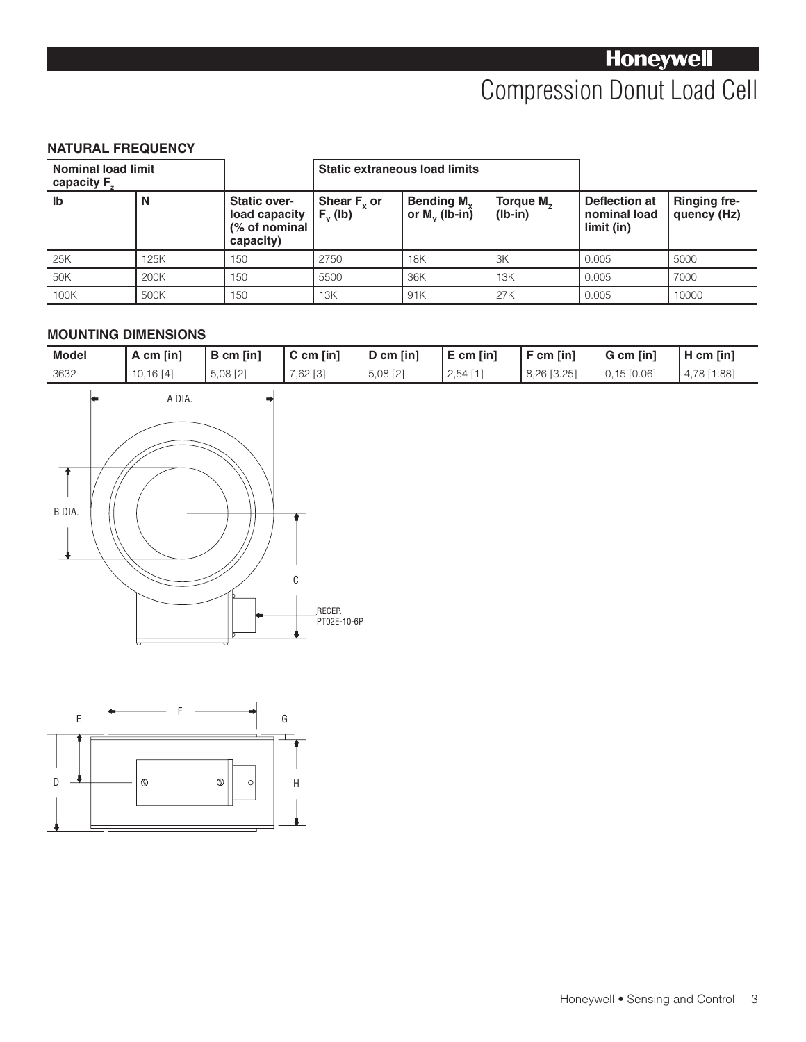#### **NATURAL FREQUENCY**

| <b>Nominal load limit</b><br>capacity F <sub>z</sub> |      |                                                                    | <b>Static extraneous load limits</b> |                                              |                                    |                                             |                                    |
|------------------------------------------------------|------|--------------------------------------------------------------------|--------------------------------------|----------------------------------------------|------------------------------------|---------------------------------------------|------------------------------------|
| lb                                                   | N    | <b>Static over-</b><br>load capacity<br>(% of nominal<br>capacity) | Shear $F_{y}$ or<br>$Fv$ (lb)        | Bending M <sub>y</sub><br>or $M_{v}$ (lb-in) | Torque M <sub>z</sub><br>$(lb-in)$ | Deflection at<br>nominal load<br>limit (in) | <b>Ringing fre-</b><br>quency (Hz) |
| 25K                                                  | 125K | 150                                                                | 2750                                 | <b>18K</b>                                   | 3K                                 | 0.005                                       | 5000                               |
| 50K                                                  | 200K | 150                                                                | 5500                                 | 36K                                          | 13K                                | 0.005                                       | 7000                               |
| 100K                                                 | 500K | 150                                                                | 13K                                  | 91K                                          | 27K                                | 0.005                                       | 10000                              |

#### **MOUNTING DIMENSIONS**

| <b>Model</b> | A cm [in] | B cm [in]  | $C$ cm $\lceil \ln \rceil$ | $D$ cm [in] | $E$ cm $\left[\text{in}\right]$ | $F$ cm [in] | $G$ cm $\lceil$ in $\rceil$ | $H$ cm $\lceil$ in $\rceil$ |
|--------------|-----------|------------|----------------------------|-------------|---------------------------------|-------------|-----------------------------|-----------------------------|
| 3632         | 10.16 [4] | $5,08$ [2] | $.62$ [3]                  | $5,08$ [2]  | 2,54                            | 8,26 [3.25] | $0,15$ [0.06]               | 1.88<br>78                  |